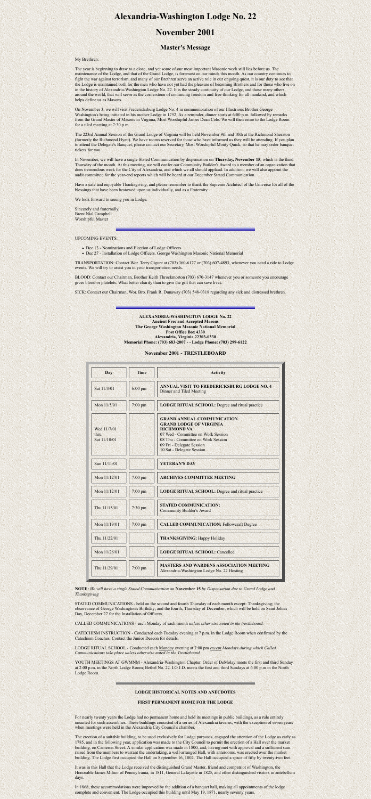# **Alexandria-Washington Lodge No. 22**

## **November 2001**

## **Master's Message**

My Brethren:

The year is beginning to draw to a close, and yet some of our most important Masonic work still lies before us. The maintenance of the Lodge, and that of the Grand Lodge, is foremost on our minds this month. As our country continues to fight the war against terrorism, and many of our Brethren serve an active role in our ongoing quest, it is our duty to see that the Lodge is maintained both for the men who have not yet had the pleasure of becoming Brothers and for those who live on in the history of Alexandria-Washington Lodge No. 22. It is the steady continuity of our Lodge, and those many others around the world, that will serve as the cornerstone of continuing freedom and free-thinking for all mankind, and which helps define us as Masons.

On November 3, we will visit Fredericksburg Lodge No. 4 in commemoration of our Illustrious Brother George Washington's being initiated in his mother Lodge in 1752. As a reminder, dinner starts at 6:00 p.m. followed by remarks from the Grand Master of Masons in Virginia, Most Worshipful James Dean Cole. We will then retire to the Lodge Room for a tiled meeting at 7:30 p.m.

- Dec 13 Nominations and Election of Lodge Officers
- Dec 27 Installation of Lodge Officers. George Washington Masonic National Memorial

The 223rd Annual Session of the Grand Lodge of Virginia will be held November 9th and 10th at the Richmond Sheraton (formerly the Richmond Hyatt). We have rooms reserved for those who have informed us they will be attending. If you plan to attend the Delegate's Banquet, please contact our Secretary, Most Worshipful Monty Quick, so that he may order banquet tickets for you.

In November, we will have a single Stated Communication by dispensation on **Thursday, November 15**, which is the third Thursday of the month. At this meeting, we will confer our Community Builder's Award to a member of an organization that does tremendous work for the City of Alexandria, and which we all should applaud. In addition, we will also appoint the audit committee for the year-end reports which will be heard at our December Stated Communication.

Have a safe and enjoyable Thanksgiving, and please remember to thank the Supreme Architect of the Universe for all of the blessings that have been bestowed upon us individually, and as a Fraternity.

We look forward to seeing you in Lodge.

Sincerely and fraternally, Brent Nial Campbell Worshipful Master

UPCOMING EVENTS:

TRANSPORTATION: Contact Wor. Terry Gigure at (703) 360-6177 or (703) 607-4893, whenever you need a ride to Lodge events. We will try to assist you in your transportation needs.

BLOOD: Contact our Chairman, Brother Keith Throckmorton (703) 670-3147 whenever you or someone you encourage gives blood or platelets. What better charity than to give the gift that can save lives.

SICK: Contact our Chairman, Wor. Bro. Frank R. Dunaway (703) 548-0318 regarding any sick and distressed brethren.

**ALEXANDRIA-WASHINGTON LODGE No. 22 Ancient Free and Accepted Masons The George Washington Masonic National Memorial**

#### **Post Office Box 4330 Alexandria, Virginia 22303-0330 Memorial Phone: (703) 683-2007 - - Lodge Phone: (703) 299-6122**

### **November 2001 - TRESTLEBOARD**

| <b>Day</b>                          | <b>Time</b>       | <b>Activity</b>                                                                                                                                                                                                                 |
|-------------------------------------|-------------------|---------------------------------------------------------------------------------------------------------------------------------------------------------------------------------------------------------------------------------|
| Sat 11/3/01                         | $6:00 \text{ pm}$ | <b>ANNUAL VISIT TO FREDERICKSBURG LODGE NO. 4</b><br><b>Dinner and Tiled Meeting</b>                                                                                                                                            |
| Mon 11/5/01                         | 7:00 pm           | <b>LODGE RITUAL SCHOOL:</b> Degree and ritual practice                                                                                                                                                                          |
| Wed 11/7/01<br>thru<br>Sat 11/10/01 |                   | <b>GRAND ANNUAL COMMUNICATION</b><br><b>GRAND LODGE OF VIRGINIA</b><br><b>RICHMOND VA</b><br>07 Wed - Committee on Work Session<br>08 Thu - Committee on Work Session<br>09 Fri - Delegate Session<br>10 Sat - Delegate Session |
| Sun 11/11/01                        |                   | <b>VETERAN'S DAY</b>                                                                                                                                                                                                            |
| Mon 11/12/01                        | $7:00$ pm         | <b>ARCHIVES COMMITTEE MEETING</b>                                                                                                                                                                                               |
| Mon 11/12/01                        | $7:00$ pm         | <b>LODGE RITUAL SCHOOL: Degree and ritual practice</b>                                                                                                                                                                          |
| Thu 11/15/01                        | $7:30$ pm         | <b>STATED COMMUNICATION:</b><br><b>Community Builder's Award</b>                                                                                                                                                                |
| Mon 11/19/01                        | $7:00$ pm         | <b>CALLED COMMUNICATION: Fellowcraft Degree</b>                                                                                                                                                                                 |
| Thu 11/22/01                        |                   | <b>THANKSGIVING: Happy Holiday</b>                                                                                                                                                                                              |
| Mon 11/26/01                        |                   | <b>LODGE RITUAL SCHOOL: Cancelled</b>                                                                                                                                                                                           |
| Thu 11/29/01                        | $7:00$ pm         | <b>MASTERS AND WARDENS ASSOCIATION MEETING</b><br>Alexandria-Washington Lodge No. 22 Hosting                                                                                                                                    |

**NOTE:** *We will have a single Stated Communication on* **November 15** *by Dispensation due to Grand Lodge and Thanksgiving*

STATED COMMUNICATIONS - held on the second and fourth Thursday of each month except: Thanksgiving; the observance of George Washington's Birthday; and the fourth, Thursday of December, which will be held on Saint John's Day, December 27 for the Installation of Officers.

CALLED COMMUNICATIONS - each Monday of each month *unless otherwise noted in the trestleboard.*

CATECHISM INSTRUCTION - Conducted each Tuesday evening at 7 p.m. in the Lodge Room when confirmed by the Catechism Coaches. Contact the Junior Deacon for details.

LODGE RITUAL SCHOOL - Conducted each Monday evening at 7:00 pm *except Mondays during which Called Communications take place unless otherwise noted in the Trestleboard.*

YOUTH MEETINGS AT GWMNM - Alexandria-Washington Chapter, Order of DeMolay meets the first and third Sunday at 2:00 p.m. in the North Lodge Room; Bethel No. 22. I.O.J.D. meets the first and third Sundays at 6:00 p.m in the North Lodge Room.

#### **LODGE HISTORICAL NOTES AND ANECDOTES**

#### **FIRST PERMANENT HOME FOR THE LODGE**

For nearly twenty years the Lodge had no permanent home and held its meetings in public buildings, as a rule entirely unsuited for such assemblies. These buildings consisted of a series of Alexandria taverns, with the exception of seven years when meetings were held in the Alexandria City Council's chamber.

The erection of a suitable building, to be used exclusively for Lodge purposes, engaged the attention of the Lodge as early as 1785, and in the following year, application was made to the City Council to permit the erection of a Hall over the market building, on Cameron Street. A similar application was made in 1800, and, having met with approval and a sufficient sum raised from the members to warrant the undertaking, a well-arranged Hall, with anterooms, was erected over the market building. The Lodge first occupied the Hall on September 16, 1802. The Hall occupied a space of fifty by twenty-two feet.

It was in this Hall that the Lodge received the distinguished Grand Master, friend and compatriot of Washington, the Honorable James Milnor of Pennsylvania, in 1811, General Lafayette in 1825, and other distinguished visitors in antebellum days.

In 1868, these accommodations were improved by the addition of a banquet hall, making all appointments of the lodge complete and convenient. The Lodge occupied this building until May 19, 1871, nearly seventy years.